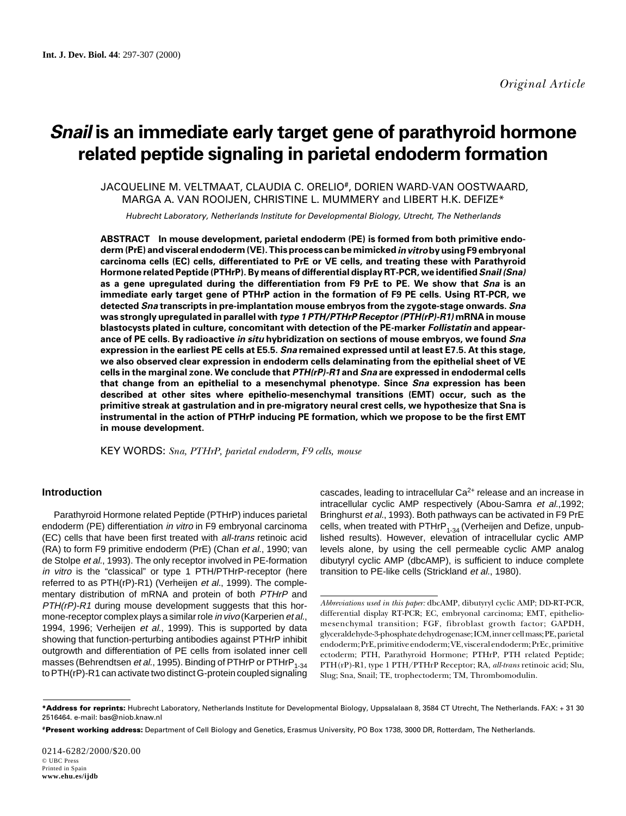# **Snail is an immediate early target gene of parathyroid hormone related peptide signaling in parietal endoderm formation**

 JACQUELINE M. VELTMAAT, CLAUDIA C. ORELIO#, DORIEN WARD-VAN OOSTWAARD, MARGA A. VAN ROOIJEN, CHRISTINE L. MUMMERY and LIBERT H.K. DEFIZE\*

Hubrecht Laboratory, Netherlands Institute for Developmental Biology, Utrecht, The Netherlands

**ABSTRACT In mouse development, parietal endoderm (PE) is formed from both primitive endoderm (PrE) and visceral endoderm (VE). This process can be mimicked in vitro by using F9 embryonal carcinoma cells (EC) cells, differentiated to PrE or VE cells, and treating these with Parathyroid Hormone related Peptide (PTHrP). By means of differential display RT-PCR, we identified Snail (Sna) as a gene upregulated during the differentiation from F9 PrE to PE. We show that Sna is an immediate early target gene of PTHrP action in the formation of F9 PE cells. Using RT-PCR, we detected Sna transcripts in pre-implantation mouse embryos from the zygote-stage onwards. Sna was strongly upregulated in parallel with type 1 PTH/PTHrP Receptor (PTH(rP)-R1) mRNA in mouse blastocysts plated in culture, concomitant with detection of the PE-marker Follistatin and appearance of PE cells. By radioactive in situ hybridization on sections of mouse embryos, we found Sna expression in the earliest PE cells at E5.5. Sna remained expressed until at least E7.5. At this stage, we also observed clear expression in endoderm cells delaminating from the epithelial sheet of VE cells in the marginal zone. We conclude that PTH(rP)-R1 and Sna are expressed in endodermal cells that change from an epithelial to a mesenchymal phenotype. Since Sna expression has been described at other sites where epithelio-mesenchymal transitions (EMT) occur, such as the primitive streak at gastrulation and in pre-migratory neural crest cells, we hypothesize that Sna is instrumental in the action of PTHrP inducing PE formation, which we propose to be the first EMT in mouse development.**

KEY WORDS: *Sna, PTHrP, parietal endoderm, F9 cells, mouse*

# **Introduction**

Parathyroid Hormone related Peptide (PTHrP) induces parietal endoderm (PE) differentiation *in vitro* in F9 embryonal carcinoma (EC) cells that have been first treated with all-trans retinoic acid (RA) to form F9 primitive endoderm (PrE) (Chan et al., 1990; van de Stolpe et al., 1993). The only receptor involved in PE-formation in vitro is the "classical" or type 1 PTH/PTHrP-receptor (here referred to as PTH(rP)-R1) (Verheijen et al., 1999). The complementary distribution of mRNA and protein of both PTHrP and PTH(rP)-R1 during mouse development suggests that this hormone-receptor complex plays a similar role *in vivo* (Karperien *et al.*, 1994, 1996; Verheijen et al., 1999). This is supported by data showing that function-perturbing antibodies against PTHrP inhibit outgrowth and differentiation of PE cells from isolated inner cell masses (Behrendtsen et al., 1995). Binding of PTHrP or PTHrP<sub>1-34</sub> to PTH(rP)-R1 can activate two distinct G-protein coupled signaling

cascades, leading to intracellular  $Ca<sup>2+</sup>$  release and an increase in intracellular cyclic AMP respectively (Abou-Samra et al.,1992; Bringhurst et al., 1993). Both pathways can be activated in F9 PrE cells, when treated with  $\text{PTHrP}_{1\text{-}34}$  (Verheijen and Defize, unpublished results). However, elevation of intracellular cyclic AMP levels alone, by using the cell permeable cyclic AMP analog dibutyryl cyclic AMP (dbcAMP), is sufficient to induce complete transition to PE-like cells (Strickland et al., 1980).

*Abbreviations used in this paper:* dbcAMP, dibutyryl cyclic AMP; DD-RT-PCR, differential display RT-PCR; EC, embryonal carcinoma; EMT, epitheliomesenchymal transition; FGF, fibroblast growth factor; GAPDH, glyceraldehyde-3-phosphate dehydrogenase; ICM, inner cell mass; PE, parietal endoderm; PrE, primitive endoderm; VE, visceral endoderm; PrEc, primitive ectoderm; PTH, Parathyroid Hormone; PTHrP, PTH related Peptide; PTH(rP)-R1, type 1 PTH/PTHrP Receptor; RA, *all-trans* retinoic acid; Slu, Slug; Sna, Snail; TE, trophectoderm; TM, Thrombomodulin.

**<sup>\*</sup>Address for reprints:** Hubrecht Laboratory, Netherlands Institute for Developmental Biology, Uppsalalaan 8, 3584 CT Utrecht, The Netherlands. FAX: + 31 30 2516464. e-mail: bas@niob.knaw.nl

**<sup>#</sup>Present working address:** Department of Cell Biology and Genetics, Erasmus University, PO Box 1738, 3000 DR, Rotterdam, The Netherlands.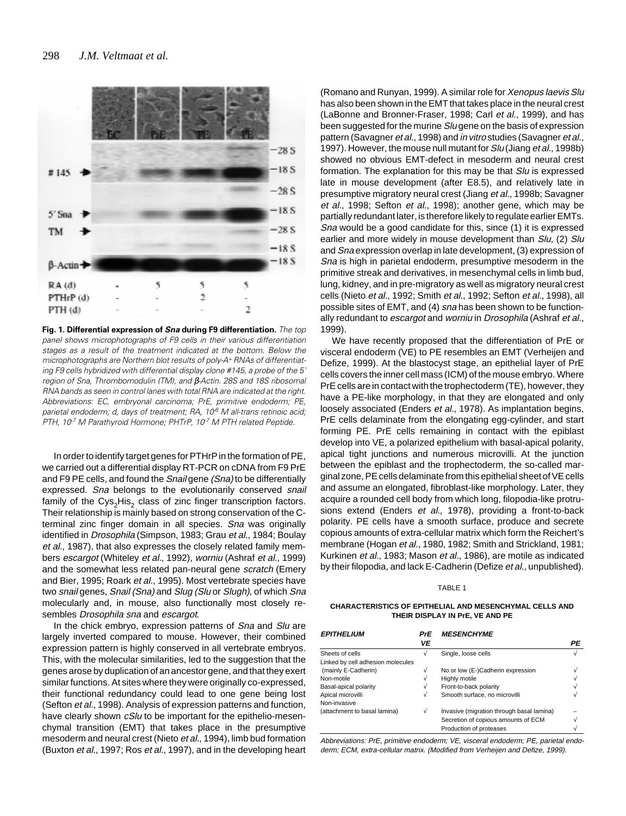

**Fig. 1. Differential expression of Sna during F9 differentiation.** The top panel shows microphotographs of F9 cells in their various differentiation stages as a result of the treatment indicated at the bottom. Below the microphotographs are Northern blot results of poly-A+ RNAs of differentiating F9 cells hybridized with differential display clone #145, a probe of the 5' region of Sna, Thrombomodulin (TM), and β-Actin. 28S and 18S ribosomal RNA bands as seen in control lanes with total RNA are indicated at the right. Abbreviations: EC, embryonal carcinoma; PrE, primitive endoderm; PE, parietal endoderm; d, days of treatment; RA, 10<sup>6</sup> M all-trans retinoic acid; PTH, 10<sup>7</sup> M Parathyroid Hormone; PHTrP, 10<sup>7</sup> M PTH related Peptide.

In order to identify target genes for PTHrP in the formation of PE, we carried out a differential display RT-PCR on cDNA from F9 PrE and F9 PE cells, and found the Snail gene (Sna) to be differentially expressed. Sna belongs to the evolutionarily conserved snail family of the Cys<sub>2</sub>His<sub>2</sub> class of zinc finger transcription factors. Their relationship is mainly based on strong conservation of the Cterminal zinc finger domain in all species. Sna was originally identified in *Drosophila* (Simpson, 1983; Grau et al., 1984; Boulay et al., 1987), that also expresses the closely related family members escargot (Whiteley et al., 1992), worniu (Ashraf et al., 1999) and the somewhat less related pan-neural gene scratch (Emery and Bier, 1995; Roark et al., 1995). Most vertebrate species have two snail genes, Snail (Sna) and Slug (Slu or Slugh), of which Sna molecularly and, in mouse, also functionally most closely resembles Drosophila sna and escargot.

In the chick embryo, expression patterns of Sna and Slu are largely inverted compared to mouse. However, their combined expression pattern is highly conserved in all vertebrate embryos. This, with the molecular similarities, led to the suggestion that the genes arose by duplication of an ancestor gene, and that they exert similar functions. At sites where they were originally co-expressed, their functional redundancy could lead to one gene being lost (Sefton et al., 1998). Analysis of expression patterns and function, have clearly shown cSlu to be important for the epithelio-mesenchymal transition (EMT) that takes place in the presumptive mesoderm and neural crest (Nieto et al., 1994), limb bud formation (Buxton et al., 1997; Ros et al., 1997), and in the developing heart

(Romano and Runyan, 1999). A similar role for Xenopus laevis Slu has also been shown in the EMT that takes place in the neural crest (LaBonne and Bronner-Fraser, 1998; Carl et al., 1999), and has been suggested for the murine Slugene on the basis of expression pattern (Savagner et al., 1998) and in vitro studies (Savagner et al., 1997). However, the mouse null mutant for Slu (Jiang et al., 1998b) showed no obvious EMT-defect in mesoderm and neural crest formation. The explanation for this may be that Slu is expressed late in mouse development (after E8.5), and relatively late in presumptive migratory neural crest (Jiang et al., 1998b; Savagner et al., 1998; Sefton et al., 1998); another gene, which may be partially redundant later, is therefore likely to regulate earlier EMTs. Sna would be a good candidate for this, since (1) it is expressed earlier and more widely in mouse development than Slu, (2) Slu and Sna expression overlap in late development, (3) expression of Sna is high in parietal endoderm, presumptive mesoderm in the primitive streak and derivatives, in mesenchymal cells in limb bud, lung, kidney, and in pre-migratory as well as migratory neural crest cells (Nieto et al., 1992; Smith et al., 1992; Sefton et al., 1998), all possible sites of EMT, and (4) sna has been shown to be functionally redundant to escargot and worniu in Drosophila (Ashraf et al., 1999).

We have recently proposed that the differentiation of PrE or visceral endoderm (VE) to PE resembles an EMT (Verheijen and Defize, 1999). At the blastocyst stage, an epithelial layer of PrE cells covers the inner cell mass (ICM) of the mouse embryo. Where PrE cells are in contact with the trophectoderm (TE), however, they have a PE-like morphology, in that they are elongated and only loosely associated (Enders et al., 1978). As implantation begins, PrE cells delaminate from the elongating egg-cylinder, and start forming PE. PrE cells remaining in contact with the epiblast develop into VE, a polarized epithelium with basal-apical polarity, apical tight junctions and numerous microvilli. At the junction between the epiblast and the trophectoderm, the so-called marginal zone, PE cells delaminate from this epithelial sheet of VE cells and assume an elongated, fibroblast-like morphology. Later, they acquire a rounded cell body from which long, filopodia-like protrusions extend (Enders et al., 1978), providing a front-to-back polarity. PE cells have a smooth surface, produce and secrete copious amounts of extra-cellular matrix which form the Reichert's membrane (Hogan et al., 1980, 1982; Smith and Strickland, 1981; Kurkinen et al., 1983; Mason et al., 1986), are motile as indicated by their filopodia, and lack E-Cadherin (Defize et al., unpublished).

## TABLE 1

## **CHARACTERISTICS OF EPITHELIAL AND MESENCHYMAL CELLS AND THEIR DISPLAY IN PrE, VE AND PE**

| <i><b>EPITHELIUM</b></i>          | PrE | <b>MESENCHYME</b>                         |    |
|-----------------------------------|-----|-------------------------------------------|----|
|                                   | VE  |                                           | РE |
| Sheets of cells                   | ν   | Single, loose cells                       |    |
| Linked by cell adhesion molecules |     |                                           |    |
| (mainly E-Cadherin)               |     | No or low (E-)Cadherin expression         |    |
| Non-motile                        |     | Highly motile                             |    |
| Basal-apical polarity             |     | Front-to-back polarity                    |    |
| Apical microvilli                 | V   | Smooth surface, no microvilli             |    |
| Non-invasive                      |     |                                           |    |
| (attachment to basal lamina)      | V   | Invasive (migration through basal lamina) |    |
|                                   |     | Secretion of copious amounts of ECM       |    |
|                                   |     | Production of proteases                   |    |

Abbreviations: PrE, primitive endoderm; VE, visceral endoderm; PE, parietal endoderm; ECM, extra-cellular matrix. (Modified from Verheijen and Defize, 1999).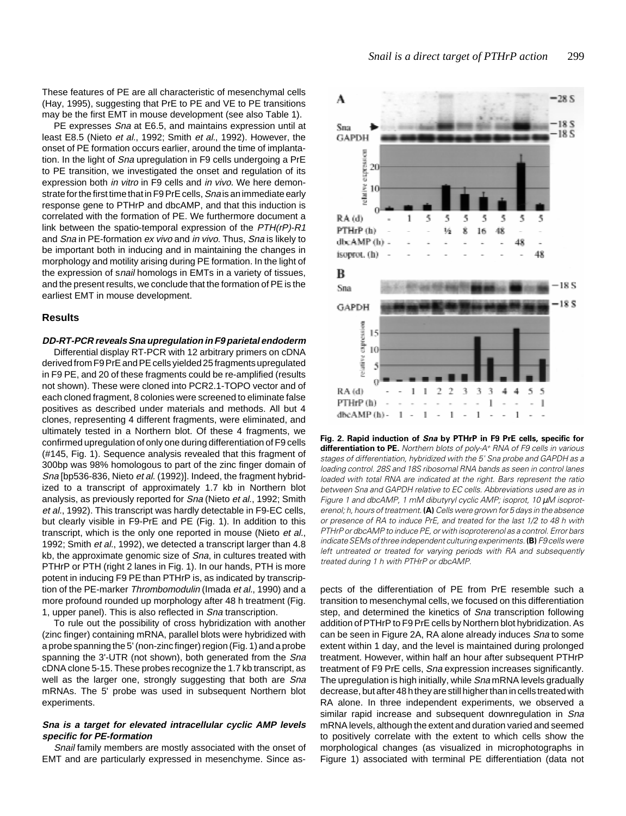These features of PE are all characteristic of mesenchymal cells (Hay, 1995), suggesting that PrE to PE and VE to PE transitions may be the first EMT in mouse development (see also Table 1).

PE expresses Sna at E6.5, and maintains expression until at least E8.5 (Nieto et al., 1992; Smith et al., 1992). However, the onset of PE formation occurs earlier, around the time of implantation. In the light of Sna upregulation in F9 cells undergoing a PrE to PE transition, we investigated the onset and regulation of its expression both in vitro in F9 cells and in vivo. We here demonstrate for the first time that in F9 PrE cells, Sna is an immediate early response gene to PTHrP and dbcAMP, and that this induction is correlated with the formation of PE. We furthermore document a link between the spatio-temporal expression of the PTH(rP)-R1 and Sna in PE-formation ex vivo and in vivo. Thus, Sna is likely to be important both in inducing and in maintaining the changes in morphology and motility arising during PE formation. In the light of the expression of snail homologs in EMTs in a variety of tissues, and the present results, we conclude that the formation of PE is the earliest EMT in mouse development.

# **Results**

# **DD-RT-PCR reveals Sna upregulation in F9 parietal endoderm**

Differential display RT-PCR with 12 arbitrary primers on cDNA derived from F9 PrE and PE cells yielded 25 fragments upregulated in F9 PE, and 20 of these fragments could be re-amplified (results not shown). These were cloned into PCR2.1-TOPO vector and of each cloned fragment, 8 colonies were screened to eliminate false positives as described under materials and methods. All but 4 clones, representing 4 different fragments, were eliminated, and ultimately tested in a Northern blot. Of these 4 fragments, we confirmed upregulation of only one during differentiation of F9 cells (#145, Fig. 1). Sequence analysis revealed that this fragment of 300bp was 98% homologous to part of the zinc finger domain of Sna [bp536-836, Nieto et al. (1992)]. Indeed, the fragment hybridized to a transcript of approximately 1.7 kb in Northern blot analysis, as previously reported for Sna (Nieto et al., 1992; Smith et al., 1992). This transcript was hardly detectable in F9-EC cells, but clearly visible in F9-PrE and PE (Fig. 1). In addition to this transcript, which is the only one reported in mouse (Nieto et al., 1992; Smith et al., 1992), we detected a transcript larger than 4.8 kb, the approximate genomic size of Sna, in cultures treated with PTHrP or PTH (right 2 lanes in Fig. 1). In our hands, PTH is more potent in inducing F9 PE than PTHrP is, as indicated by transcription of the PE-marker Thrombomodulin (Imada et al., 1990) and a more profound rounded up morphology after 48 h treatment (Fig. 1, upper panel). This is also reflected in Sna transcription.

To rule out the possibility of cross hybridization with another (zinc finger) containing mRNA, parallel blots were hybridized with a probe spanning the 5' (non-zinc finger) region (Fig. 1) and a probe spanning the 3'-UTR (not shown), both generated from the Sna cDNA clone 5-15. These probes recognize the 1.7 kb transcript, as well as the larger one, strongly suggesting that both are Sna mRNAs. The 5' probe was used in subsequent Northern blot experiments.

# **Sna is a target for elevated intracellular cyclic AMP levels specific for PE-formation**

Snail family members are mostly associated with the onset of EMT and are particularly expressed in mesenchyme. Since as-



**Fig. 2. Rapid induction of Sna by PTHrP in F9 PrE cells, specific for differentiation to PE.** Northern blots of poly-A<sup>+</sup> RNA of F9 cells in various stages of differentiation, hybridized with the 5' Sna probe and GAPDH as a loading control. 28S and 18S ribosomal RNA bands as seen in control lanes loaded with total RNA are indicated at the right. Bars represent the ratio between Sna and GAPDH relative to EC cells. Abbreviations used are as in Figure 1 and dbcAMP, 1 mM dibutyryl cyclic AMP; isoprot, 10 µM isoproterenol; h, hours of treatment. **(A)** Cells were grown for 5 days in the absence or presence of RA to induce PrE, and treated for the last 1/2 to 48 h with PTHrP or dbcAMP to induce PE, or with isoproterenol as a control. Error bars indicate SEMs of three independent culturing experiments. **(B)** F9 cells were left untreated or treated for varying periods with RA and subsequently treated during 1 h with PTHrP or dbcAMP.

pects of the differentiation of PE from PrE resemble such a transition to mesenchymal cells, we focused on this differentiation step, and determined the kinetics of Sna transcription following addition of PTHrP to F9 PrE cells by Northern blot hybridization. As can be seen in Figure 2A, RA alone already induces Sna to some extent within 1 day, and the level is maintained during prolonged treatment. However, within half an hour after subsequent PTHrP treatment of F9 PrE cells, Sna expression increases significantly. The upregulation is high initially, while SnamRNA levels gradually decrease, but after 48 h they are still higher than in cells treated with RA alone. In three independent experiments, we observed a similar rapid increase and subsequent downregulation in Sna mRNA levels, although the extent and duration varied and seemed to positively correlate with the extent to which cells show the morphological changes (as visualized in microphotographs in Figure 1) associated with terminal PE differentiation (data not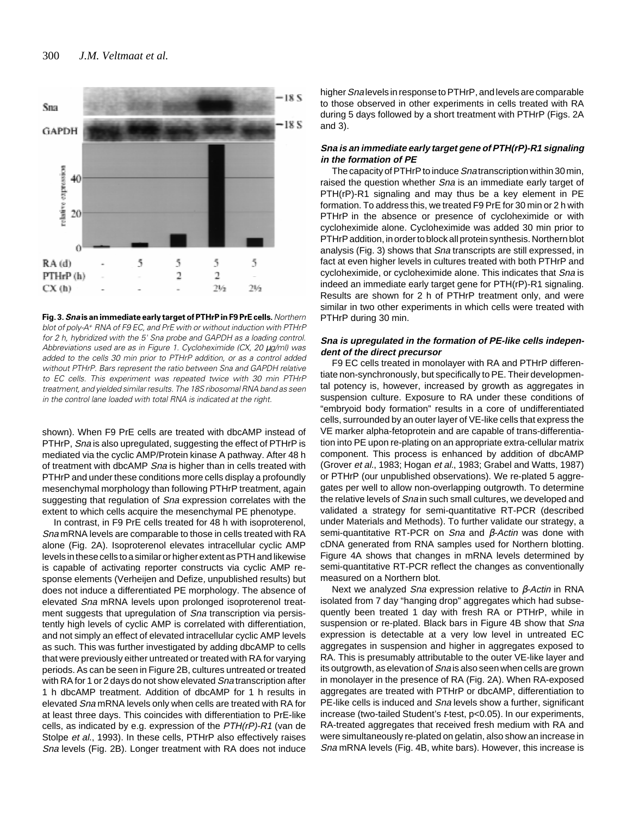

**Fig. 3. Sna is an immediate early target of PTHrP in F9 PrE cells.** Northern blot of poly-A+ RNA of F9 EC, and PrE with or without induction with PTHrP for 2 h, hybridized with the 5' Sna probe and GAPDH as a loading control. Abbreviations used are as in Figure 1. Cycloheximide (CX, 20 µg/ml) was added to the cells 30 min prior to PTHrP addition, or as a control added without PTHrP. Bars represent the ratio between Sna and GAPDH relative to EC cells. This experiment was repeated twice with 30 min PTHrP treatment, and yielded similar results. The 18S ribosomal RNA band as seen in the control lane loaded with total RNA is indicated at the right.

shown). When F9 PrE cells are treated with dbcAMP instead of PTHrP, Sna is also upregulated, suggesting the effect of PTHrP is mediated via the cyclic AMP/Protein kinase A pathway. After 48 h of treatment with dbcAMP Sna is higher than in cells treated with PTHrP and under these conditions more cells display a profoundly mesenchymal morphology than following PTHrP treatment, again suggesting that regulation of Sna expression correlates with the extent to which cells acquire the mesenchymal PE phenotype.

In contrast, in F9 PrE cells treated for 48 h with isoproterenol, Sna mRNA levels are comparable to those in cells treated with RA alone (Fig. 2A). Isoproterenol elevates intracellular cyclic AMP levels in these cells to a similar or higher extent as PTH and likewise is capable of activating reporter constructs via cyclic AMP response elements (Verheijen and Defize, unpublished results) but does not induce a differentiated PE morphology. The absence of elevated Sna mRNA levels upon prolonged isoproterenol treatment suggests that upregulation of Sna transcription via persistently high levels of cyclic AMP is correlated with differentiation, and not simply an effect of elevated intracellular cyclic AMP levels as such. This was further investigated by adding dbcAMP to cells that were previously either untreated or treated with RA for varying periods. As can be seen in Figure 2B, cultures untreated or treated with RA for 1 or 2 days do not show elevated Sna transcription after 1 h dbcAMP treatment. Addition of dbcAMP for 1 h results in elevated Sna mRNA levels only when cells are treated with RA for at least three days. This coincides with differentiation to PrE-like cells, as indicated by e.g. expression of the PTH(rP)-R1 (van de Stolpe et al., 1993). In these cells, PTHrP also effectively raises Sna levels (Fig. 2B). Longer treatment with RA does not induce

higher Sna levels in response to PTHrP, and levels are comparable to those observed in other experiments in cells treated with RA during 5 days followed by a short treatment with PTHrP (Figs. 2A and 3).

# **Sna is an immediate early target gene of PTH(rP)-R1 signaling in the formation of PE**

The capacity of PTHrP to induce Snatranscription within 30 min. raised the question whether *Sna* is an immediate early target of PTH(rP)-R1 signaling and may thus be a key element in PE formation. To address this, we treated F9 PrE for 30 min or 2 h with PTHrP in the absence or presence of cycloheximide or with cycloheximide alone. Cycloheximide was added 30 min prior to PTHrP addition, in order to block all protein synthesis. Northern blot analysis (Fig. 3) shows that Sna transcripts are still expressed, in fact at even higher levels in cultures treated with both PTHrP and cycloheximide, or cycloheximide alone. This indicates that Sna is indeed an immediate early target gene for PTH(rP)-R1 signaling. Results are shown for 2 h of PTHrP treatment only, and were similar in two other experiments in which cells were treated with PTHrP during 30 min.

# **Sna is upregulated in the formation of PE-like cells independent of the direct precursor**

F9 EC cells treated in monolayer with RA and PTHrP differentiate non-synchronously, but specifically to PE. Their developmental potency is, however, increased by growth as aggregates in suspension culture. Exposure to RA under these conditions of "embryoid body formation" results in a core of undifferentiated cells, surrounded by an outer layer of VE-like cells that express the VE marker alpha-fetoprotein and are capable of trans-differentiation into PE upon re-plating on an appropriate extra-cellular matrix component. This process is enhanced by addition of dbcAMP (Grover et al., 1983; Hogan et al., 1983; Grabel and Watts, 1987) or PTHrP (our unpublished observations). We re-plated 5 aggregates per well to allow non-overlapping outgrowth. To determine the relative levels of Sna in such small cultures, we developed and validated a strategy for semi-quantitative RT-PCR (described under Materials and Methods). To further validate our strategy, a semi-quantitative RT-PCR on Sna and β-Actin was done with cDNA generated from RNA samples used for Northern blotting. Figure 4A shows that changes in mRNA levels determined by semi-quantitative RT-PCR reflect the changes as conventionally measured on a Northern blot.

Next we analyzed Sna expression relative to  $\beta$ -Actin in RNA isolated from 7 day "hanging drop" aggregates which had subsequently been treated 1 day with fresh RA or PTHrP, while in suspension or re-plated. Black bars in Figure 4B show that Sna expression is detectable at a very low level in untreated EC aggregates in suspension and higher in aggregates exposed to RA. This is presumably attributable to the outer VE-like layer and its outgrowth, as elevation of Sna is also seen when cells are grown in monolayer in the presence of RA (Fig. 2A). When RA-exposed aggregates are treated with PTHrP or dbcAMP, differentiation to PE-like cells is induced and Sna levels show a further, significant increase (two-tailed Student's t-test, p<0.05). In our experiments, RA-treated aggregates that received fresh medium with RA and were simultaneously re-plated on gelatin, also show an increase in Sna mRNA levels (Fig. 4B, white bars). However, this increase is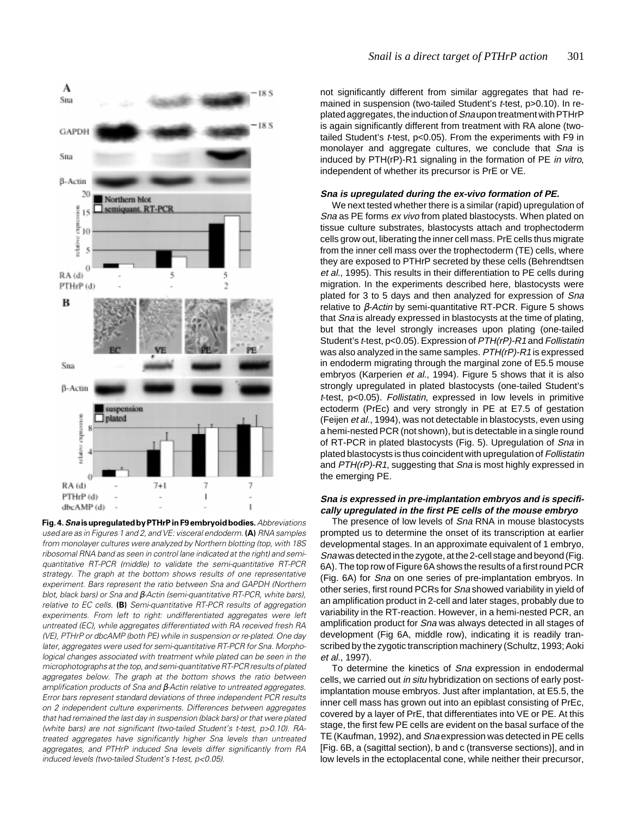

**Fig. 4. Sna is upregulated by PTHrP in F9 embryoid bodies.** Abbreviations used are as in Figures 1 and 2, and VE: visceral endoderm. **(A)** RNA samples from monolayer cultures were analyzed by Northern blotting (top, with 18S ribosomal RNA band as seen in control lane indicated at the right) and semiquantitative RT-PCR (middle) to validate the semi-quantitative RT-PCR strategy. The graph at the bottom shows results of one representative experiment. Bars represent the ratio between Sna and GAPDH (Northern blot, black bars) or Sna and β-Actin (semi-quantitative RT-PCR, white bars), relative to EC cells. **(B)** Semi-quantitative RT-PCR results of aggregation experiments. From left to right: undifferentiated aggregates were left untreated (EC), while aggregates differentiated with RA received fresh RA (VE), PTHrP or dbcAMP (both PE) while in suspension or re-plated. One day later, aggregates were used for semi-quantitative RT-PCR for Sna. Morphological changes associated with treatment while plated can be seen in the microphotographs at the top, and semi-quantitative RT-PCR results of plated aggregates below. The graph at the bottom shows the ratio between amplification products of Sna and β-Actin relative to untreated aggregates. Error bars represent standard deviations of three independent PCR results on 2 independent culture experiments. Differences between aggregates that had remained the last day in suspension (black bars) or that were plated (white bars) are not significant (two-tailed Student's t-test, p>0.10). RAtreated aggregates have significantly higher Sna levels than untreated aggregates, and PTHrP induced Sna levels differ significantly from RA induced levels (two-tailed Student's t-test, p<0.05).

not significantly different from similar aggregates that had remained in suspension (two-tailed Student's t-test, p>0.10). In replated aggregates, the induction of Sna upon treatment with PTHrP is again significantly different from treatment with RA alone (twotailed Student's t-test, p<0.05). From the experiments with F9 in monolayer and aggregate cultures, we conclude that Sna is induced by PTH(rP)-R1 signaling in the formation of PE in vitro, independent of whether its precursor is PrE or VE.

# **Sna is upregulated during the ex-vivo formation of PE.**

We next tested whether there is a similar (rapid) upregulation of Sna as PE forms ex vivo from plated blastocysts. When plated on tissue culture substrates, blastocysts attach and trophectoderm cells grow out, liberating the inner cell mass. PrE cells thus migrate from the inner cell mass over the trophectoderm (TE) cells, where they are exposed to PTHrP secreted by these cells (Behrendtsen et al., 1995). This results in their differentiation to PE cells during migration. In the experiments described here, blastocysts were plated for 3 to 5 days and then analyzed for expression of Sna relative to  $β$ -Actin by semi-quantitative RT-PCR. Figure 5 shows that Sna is already expressed in blastocysts at the time of plating, but that the level strongly increases upon plating (one-tailed Student's t-test, p<0.05). Expression of  $PTH(rP)$ -R1 and Follistatin was also analyzed in the same samples.  $PTH(rP)$ -R1 is expressed in endoderm migrating through the marginal zone of E5.5 mouse embryos (Karperien et al., 1994). Figure 5 shows that it is also strongly upregulated in plated blastocysts (one-tailed Student's <sup>t</sup>-test, p<0.05). Follistatin, expressed in low levels in primitive ectoderm (PrEc) and very strongly in PE at E7.5 of gestation (Feijen et al., 1994), was not detectable in blastocysts, even using a hemi-nested PCR (not shown), but is detectable in a single round of RT-PCR in plated blastocysts (Fig. 5). Upregulation of Sna in plated blastocysts is thus coincident with upregulation of Follistatin and  $PTH(rP)-R1$ , suggesting that Sna is most highly expressed in the emerging PE.

# **Sna is expressed in pre-implantation embryos and is specifically upregulated in the first PE cells of the mouse embryo**

The presence of low levels of Sna RNA in mouse blastocysts prompted us to determine the onset of its transcription at earlier developmental stages. In an approximate equivalent of 1 embryo, Sna was detected in the zygote, at the 2-cell stage and beyond (Fig. 6A). The top row of Figure 6A shows the results of a first round PCR (Fig. 6A) for Sna on one series of pre-implantation embryos. In other series, first round PCRs for Sna showed variability in yield of an amplification product in 2-cell and later stages, probably due to variability in the RT-reaction. However, in a hemi-nested PCR, an amplification product for Sna was always detected in all stages of development (Fig 6A, middle row), indicating it is readily transcribed by the zygotic transcription machinery (Schultz, 1993; Aoki et al., 1997).

To determine the kinetics of Sna expression in endodermal cells, we carried out in situ hybridization on sections of early postimplantation mouse embryos. Just after implantation, at E5.5, the inner cell mass has grown out into an epiblast consisting of PrEc, covered by a layer of PrE, that differentiates into VE or PE. At this stage, the first few PE cells are evident on the basal surface of the TE (Kaufman, 1992), and Sna expression was detected in PE cells [Fig. 6B, a (sagittal section), b and c (transverse sections)], and in low levels in the ectoplacental cone, while neither their precursor,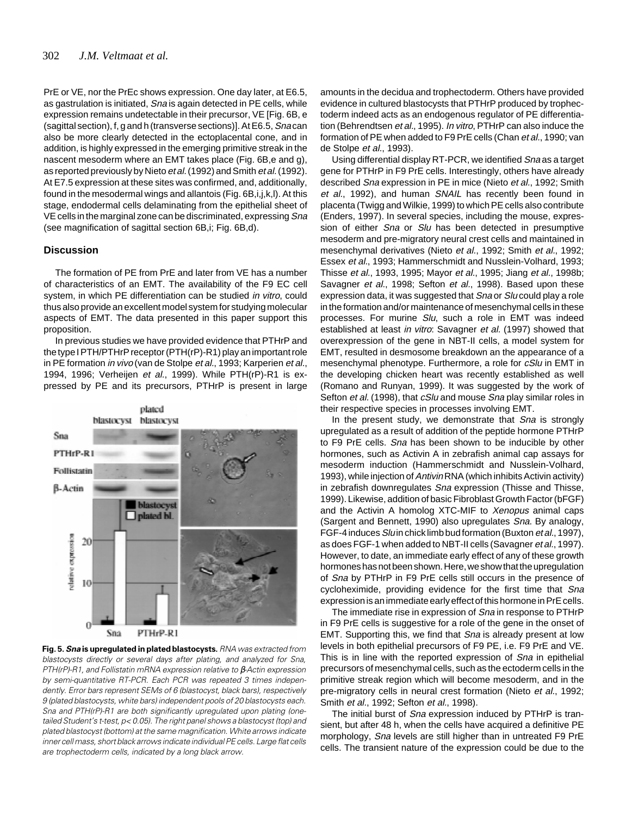PrE or VE, nor the PrEc shows expression. One day later, at E6.5, as gastrulation is initiated, Sna is again detected in PE cells, while expression remains undetectable in their precursor, VE [Fig. 6B, e (sagittal section), f, g and h (transverse sections)]. At E6.5, Sna can also be more clearly detected in the ectoplacental cone, and in addition, is highly expressed in the emerging primitive streak in the nascent mesoderm where an EMT takes place (Fig. 6B,e and g), as reported previously by Nieto et al. (1992) and Smith et al. (1992). At E7.5 expression at these sites was confirmed, and, additionally, found in the mesodermal wings and allantois (Fig. 6B,i,j,k,l). At this stage, endodermal cells delaminating from the epithelial sheet of VE cells in the marginal zone can be discriminated, expressing Sna (see magnification of sagittal section 6B,i; Fig. 6B,d).

# **Discussion**

The formation of PE from PrE and later from VE has a number of characteristics of an EMT. The availability of the F9 EC cell system, in which PE differentiation can be studied in vitro, could thus also provide an excellent model system for studying molecular aspects of EMT. The data presented in this paper support this proposition.

In previous studies we have provided evidence that PTHrP and the type I PTH/PTHrP receptor (PTH(rP)-R1) play an important role in PE formation in vivo (van de Stolpe et al., 1993; Karperien et al., 1994, 1996; Verheijen et al., 1999). While PTH(rP)-R1 is expressed by PE and its precursors, PTHrP is present in large



**Fig. 5. Sna is upregulated in plated blastocysts.** RNA was extracted from blastocysts directly or several days after plating, and analyzed for Sna, PTH(rP)-R1, and Follistatin mRNA expression relative to β-Actin expression by semi-quantitative RT-PCR. Each PCR was repeated 3 times independently. Error bars represent SEMs of 6 (blastocyst, black bars), respectively 9 (plated blastocysts, white bars) independent pools of 20 blastocysts each. Sna and PTH(rP)-R1 are both significantly upregulated upon plating (onetailed Student's t-test, p< 0.05). The right panel shows a blastocyst (top) and plated blastocyst (bottom) at the same magnification. White arrows indicate inner cell mass, short black arrows indicate individual PE cells. Large flat cells are trophectoderm cells, indicated by a long black arrow.

amounts in the decidua and trophectoderm. Others have provided evidence in cultured blastocysts that PTHrP produced by trophectoderm indeed acts as an endogenous regulator of PE differentiation (Behrendtsen et al., 1995). In vitro, PTHrP can also induce the formation of PE when added to F9 PrE cells (Chan et al., 1990; van de Stolpe et al., 1993).

Using differential display RT-PCR, we identified Sna as a target gene for PTHrP in F9 PrE cells. Interestingly, others have already described Sna expression in PE in mice (Nieto et al., 1992; Smith et al., 1992), and human SNAIL has recently been found in placenta (Twigg and Wilkie, 1999) to which PE cells also contribute (Enders, 1997). In several species, including the mouse, expression of either *Sna* or *Slu* has been detected in presumptive mesoderm and pre-migratory neural crest cells and maintained in mesenchymal derivatives (Nieto et al., 1992; Smith et al., 1992; Essex et al., 1993; Hammerschmidt and Nusslein-Volhard, 1993; Thisse et al., 1993, 1995; Mayor et al., 1995; Jiang et al., 1998b; Savagner et al., 1998; Sefton et al., 1998). Based upon these expression data, it was suggested that Sna or Slu could play a role in the formation and/or maintenance of mesenchymal cells in these processes. For murine Slu, such a role in EMT was indeed established at least in vitro: Savagner et al. (1997) showed that overexpression of the gene in NBT-II cells, a model system for EMT, resulted in desmosome breakdown an the appearance of a mesenchymal phenotype. Furthermore, a role for cSlu in EMT in the developing chicken heart was recently established as well (Romano and Runyan, 1999). It was suggested by the work of Sefton et al. (1998), that cSlu and mouse Sna play similar roles in their respective species in processes involving EMT.

In the present study, we demonstrate that Sna is strongly upregulated as a result of addition of the peptide hormone PTHrP to F9 PrE cells. Sna has been shown to be inducible by other hormones, such as Activin A in zebrafish animal cap assays for mesoderm induction (Hammerschmidt and Nusslein-Volhard, 1993), while injection of Antivin RNA (which inhibits Activin activity) in zebrafish downregulates Sna expression (Thisse and Thisse, 1999). Likewise, addition of basic Fibroblast Growth Factor (bFGF) and the Activin A homolog XTC-MIF to Xenopus animal caps (Sargent and Bennett, 1990) also upregulates Sna. By analogy, FGF-4 induces Sluin chick limb bud formation (Buxton et al., 1997), as does FGF-1 when added to NBT-II cells (Savagner et al., 1997). However, to date, an immediate early effect of any of these growth hormones has not been shown. Here, we show that the upregulation of Sna by PTHrP in F9 PrE cells still occurs in the presence of cycloheximide, providing evidence for the first time that Sna expression is an immediate early effect of this hormone in PrE cells.

The immediate rise in expression of Sna in response to PTHrP in F9 PrE cells is suggestive for a role of the gene in the onset of EMT. Supporting this, we find that Sna is already present at low levels in both epithelial precursors of F9 PE, i.e. F9 PrE and VE. This is in line with the reported expression of Sna in epithelial precursors of mesenchymal cells, such as the ectoderm cells in the primitive streak region which will become mesoderm, and in the pre-migratory cells in neural crest formation (Nieto et al., 1992; Smith et al., 1992; Sefton et al., 1998).

The initial burst of Sna expression induced by PTHrP is transient, but after 48 h, when the cells have acquired a definitive PE morphology, *Sna* levels are still higher than in untreated F9 PrE cells. The transient nature of the expression could be due to the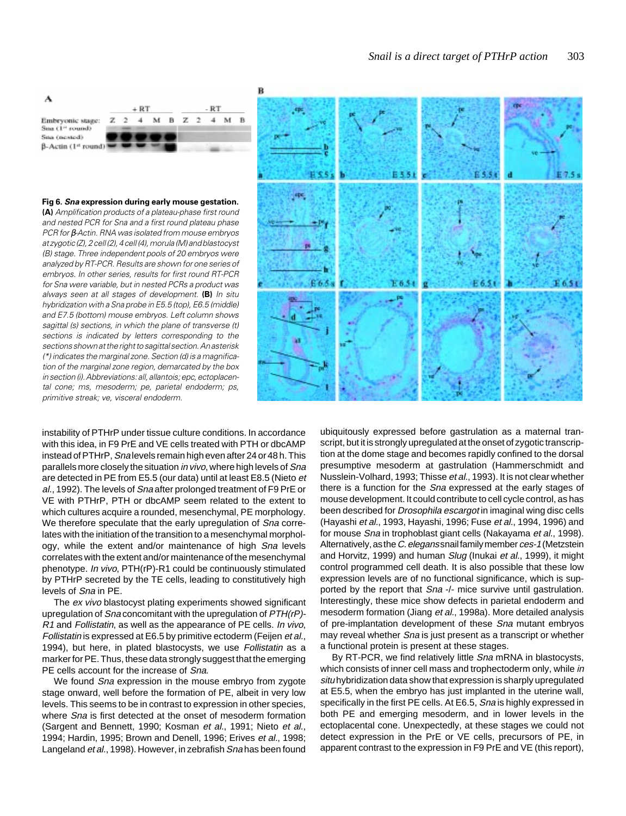

## **Fig 6. Sna expression during early mouse gestation.**

**(A)** Amplification products of a plateau-phase first round and nested PCR for Sna and a first round plateau phase PCR for β-Actin. RNA was isolated from mouse embryos at zygotic (Z), 2 cell (2), 4 cell (4), morula (M) and blastocyst (B) stage. Three independent pools of 20 embryos were analyzed by RT-PCR. Results are shown for one series of embryos. In other series, results for first round RT-PCR for Sna were variable, but in nested PCRs a product was always seen at all stages of development. **(B)** In situ hybridization with a Sna probe in E5.5 (top), E6.5 (middle) and E7.5 (bottom) mouse embryos. Left column shows sagittal (s) sections, in which the plane of transverse (t) sections is indicated by letters corresponding to the sections shown at the right to sagittal section. An asterisk (\*) indicates the marginal zone. Section (d) is a magnification of the marginal zone region, demarcated by the box in section (i). Abbreviations: all, allantois; epc, ectoplacental cone; ms, mesoderm; pe, parietal endoderm; ps, primitive streak; ve, visceral endoderm.

instability of PTHrP under tissue culture conditions. In accordance with this idea, in F9 PrE and VE cells treated with PTH or dbcAMP instead of PTHrP, Sna levels remain high even after 24 or 48 h. This parallels more closely the situation in vivo, where high levels of Sna are detected in PE from E5.5 (our data) until at least E8.5 (Nieto et al., 1992). The levels of Sna after prolonged treatment of F9 PrE or VE with PTHrP, PTH or dbcAMP seem related to the extent to which cultures acquire a rounded, mesenchymal, PE morphology. We therefore speculate that the early upregulation of Sna correlates with the initiation of the transition to a mesenchymal morphology, while the extent and/or maintenance of high Sna levels correlates with the extent and/or maintenance of the mesenchymal phenotype. In vivo, PTH(rP)-R1 could be continuously stimulated by PTHrP secreted by the TE cells, leading to constitutively high levels of Sna in PE.

The ex vivo blastocyst plating experiments showed significant upregulation of Sna concomitant with the upregulation of PTH(rP)- R1 and Follistatin, as well as the appearance of PE cells. In vivo, Follistatin is expressed at E6.5 by primitive ectoderm (Feijen et al., 1994), but here, in plated blastocysts, we use Follistatin as a marker for PE. Thus, these data strongly suggest that the emerging PE cells account for the increase of Sna.

We found Sna expression in the mouse embryo from zygote stage onward, well before the formation of PE, albeit in very low levels. This seems to be in contrast to expression in other species, where *Sna* is first detected at the onset of mesoderm formation (Sargent and Bennett, 1990; Kosman et al., 1991; Nieto et al., 1994; Hardin, 1995; Brown and Denell, 1996; Erives et al., 1998; Langeland et al., 1998). However, in zebrafish Sna has been found



ubiquitously expressed before gastrulation as a maternal transcript, but it is strongly upregulated at the onset of zygotic transcription at the dome stage and becomes rapidly confined to the dorsal presumptive mesoderm at gastrulation (Hammerschmidt and Nusslein-Volhard, 1993; Thisse et al., 1993). It is not clear whether there is a function for the Sna expressed at the early stages of mouse development. It could contribute to cell cycle control, as has been described for Drosophila escargot in imaginal wing disc cells (Hayashi et al., 1993, Hayashi, 1996; Fuse et al., 1994, 1996) and for mouse *Sna* in trophoblast giant cells (Nakayama et al., 1998). Alternatively, as the C. elegans snail family member ces-1 (Metzstein and Horvitz, 1999) and human Slug (Inukai et al., 1999), it might control programmed cell death. It is also possible that these low expression levels are of no functional significance, which is supported by the report that Sna -/- mice survive until gastrulation. Interestingly, these mice show defects in parietal endoderm and mesoderm formation (Jiang et al., 1998a). More detailed analysis of pre-implantation development of these Sna mutant embryos may reveal whether Sna is just present as a transcript or whether a functional protein is present at these stages.

By RT-PCR, we find relatively little Sna mRNA in blastocysts, which consists of inner cell mass and trophectoderm only, while in situ hybridization data show that expression is sharply upregulated at E5.5, when the embryo has just implanted in the uterine wall, specifically in the first PE cells. At E6.5, Sna is highly expressed in both PE and emerging mesoderm, and in lower levels in the ectoplacental cone. Unexpectedly, at these stages we could not detect expression in the PrE or VE cells, precursors of PE, in apparent contrast to the expression in F9 PrE and VE (this report),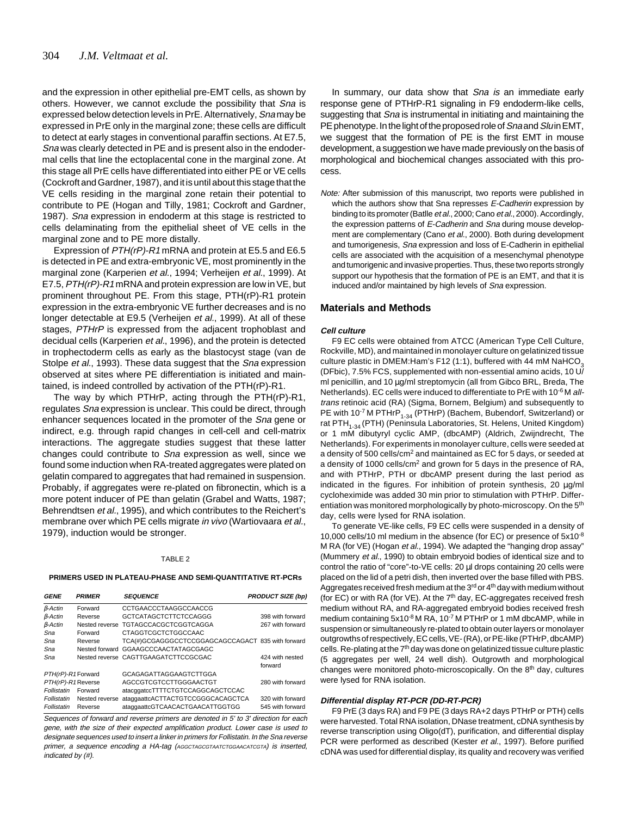and the expression in other epithelial pre-EMT cells, as shown by others. However, we cannot exclude the possibility that Sna is expressed below detection levels in PrE. Alternatively, Sna may be expressed in PrE only in the marginal zone; these cells are difficult to detect at early stages in conventional paraffin sections. At E7.5, Sna was clearly detected in PE and is present also in the endodermal cells that line the ectoplacental cone in the marginal zone. At this stage all PrE cells have differentiated into either PE or VE cells (Cockroft and Gardner, 1987), and it is until about this stage that the VE cells residing in the marginal zone retain their potential to contribute to PE (Hogan and Tilly, 1981; Cockroft and Gardner, 1987). Sna expression in endoderm at this stage is restricted to cells delaminating from the epithelial sheet of VE cells in the marginal zone and to PE more distally.

Expression of  $PTH(rP)$ -R1 mRNA and protein at E5.5 and E6.5 is detected in PE and extra-embryonic VE, most prominently in the marginal zone (Karperien et al., 1994; Verheijen et al., 1999). At E7.5, PTH(rP)-R1 mRNA and protein expression are low in VE, but prominent throughout PE. From this stage, PTH(rP)-R1 protein expression in the extra-embryonic VE further decreases and is no longer detectable at E9.5 (Verheijen et al., 1999). At all of these stages, PTHrP is expressed from the adjacent trophoblast and decidual cells (Karperien et al., 1996), and the protein is detected in trophectoderm cells as early as the blastocyst stage (van de Stolpe *et al.*, 1993). These data suggest that the *Sna* expression observed at sites where PE differentiation is initiated and maintained, is indeed controlled by activation of the PTH(rP)-R1.

The way by which PTHrP, acting through the PTH(rP)-R1, regulates Sna expression is unclear. This could be direct, through enhancer sequences located in the promoter of the Sna gene or indirect, e.g. through rapid changes in cell-cell and cell-matrix interactions. The aggregate studies suggest that these latter changes could contribute to Sna expression as well, since we found some induction when RA-treated aggregates were plated on gelatin compared to aggregates that had remained in suspension. Probably, if aggregates were re-plated on fibronectin, which is a more potent inducer of PE than gelatin (Grabel and Watts, 1987; Behrendtsen et al., 1995), and which contributes to the Reichert's membrane over which PE cells migrate in vivo (Wartiovaara et al., 1979), induction would be stronger.

#### TABLE 2

## **PRIMERS USED IN PLATEAU-PHASE AND SEMI-QUANTITATIVE RT-PCRs**

| <b>GENE</b>        | <b>PRIMER</b>  | <b>SEQUENCE</b>                                   | <b>PRODUCT SIZE (bp)</b>   |
|--------------------|----------------|---------------------------------------------------|----------------------------|
| $\beta$ -Actin     | Forward        | CCTGAACCCTAAGGCCAACCG                             |                            |
| $\beta$ -Actin     | Reverse        | GCTCATAGCTCTTCTCCAGGG                             | 398 with forward           |
| $\beta$ -Actin     |                | Nested reverse TGTAGCCACGCTCGGTCAGGA              | 267 with forward           |
| Sna                | Forward        | <b>CTAGGTCGCTCTGGCCAAC</b>                        |                            |
| Sna                | Reverse        | TCA(#)GCGAGGGCCTCCGGAGCAGCCAGACT 835 with forward |                            |
| Sna                |                | Nested forward GGAAGCCCAACTATAGCGAGC              |                            |
| Sna                |                | Nested reverse CAGTTGAAGATCTTCCGCGAC              | 424 with nested<br>forward |
| PTH(rP)-R1 Forward |                | <b>GCAGAGATTAGGAAGTCTTGGA</b>                     |                            |
| PTH(rP)-R1 Reverse |                | AGCCGTCGTCCTTGGGAACTGT                            | 280 with forward           |
| Follistatin        | Forward        | atacqqatccTTTTCTGTCCAGGCAGCTCCAC                  |                            |
| Follistatin        | Nested reverse | ataqqaattcACTTACTGTCCGGGCACAGCTCA                 | 320 with forward           |
| Follistatin        | Reverse        | ataggaattcGTCAACACTGAACATTGGTGG                   | 545 with forward           |

Sequences of forward and reverse primers are denoted in 5' to 3' direction for each gene, with the size of their expected amplification product. Lower case is used to designate sequences used to insert a linker in primers for Follistatin. In the Sna reverse primer, a sequence encoding a HA-tag (AGGCTAGCGTAATCTGGAACATCGTA) is inserted, indicated by (#).

In summary, our data show that Sna is an immediate early response gene of PTHrP-R1 signaling in F9 endoderm-like cells, suggesting that Sna is instrumental in initiating and maintaining the PE phenotype. In the light of the proposed role of Sna and Sluin EMT, we suggest that the formation of PE is the first EMT in mouse development, a suggestion we have made previously on the basis of morphological and biochemical changes associated with this process.

Note: After submission of this manuscript, two reports were published in which the authors show that Sna represses E-Cadherin expression by binding to its promoter (Batlle et al., 2000; Cano et al., 2000). Accordingly, the expression patterns of E-Cadherin and Sna during mouse development are complementary (Cano et al., 2000). Both during development and tumorigenesis, Sna expression and loss of E-Cadherin in epithelial cells are associated with the acquisition of a mesenchymal phenotype and tumorigenic and invasive properties. Thus, these two reports strongly support our hypothesis that the formation of PE is an EMT, and that it is induced and/or maintained by high levels of Sna expression.

## **Materials and Methods**

#### **Cell culture**

F9 EC cells were obtained from ATCC (American Type Cell Culture, Rockville, MD), and maintained in monolayer culture on gelatinized tissue culture plastic in DMEM: Ham's F12 (1:1), buffered with 44 mM NaHCO<sub>3</sub> (DFbic), 7.5% FCS, supplemented with non-essential amino acids, 10 U/ ml penicillin, and 10 µg/ml streptomycin (all from Gibco BRL, Breda, The Netherlands). EC cells were induced to differentiate to PrE with 10<sup>-6</sup> M alltrans retinoic acid (RA) (Sigma, Bornem, Belgium) and subsequently to PE with 10<sup>-7</sup> M PTHrP<sub>1-34</sub> (PTHrP) (Bachem, Bubendorf, Switzerland) or rat PTH<sub>1-34</sub> (PTH) (Peninsula Laboratories, St. Helens, United Kingdom) or 1 mM dibutyryl cyclic AMP, (dbcAMP) (Aldrich, Zwijndrecht, The Netherlands). For experiments in monolayer culture, cells were seeded at a density of 500 cells/cm2 and maintained as EC for 5 days, or seeded at a density of 1000 cells/cm2 and grown for 5 days in the presence of RA, and with PTHrP, PTH or dbcAMP present during the last period as indicated in the figures. For inhibition of protein synthesis, 20 µg/ml cycloheximide was added 30 min prior to stimulation with PTHrP. Differentiation was monitored morphologically by photo-microscopy. On the 5<sup>th</sup> day, cells were lysed for RNA isolation.

To generate VE-like cells, F9 EC cells were suspended in a density of 10,000 cells/10 ml medium in the absence (for EC) or presence of 5x10-8 M RA (for VE) (Hogan et al., 1994). We adapted the "hanging drop assay" (Mummery et al., 1990) to obtain embryoid bodies of identical size and to control the ratio of "core"-to-VE cells: 20 µl drops containing 20 cells were placed on the lid of a petri dish, then inverted over the base filled with PBS. Aggregates received fresh medium at the 3<sup>rd</sup> or 4<sup>th</sup> day with medium without (for EC) or with RA (for  $VE$ ). At the  $7<sup>th</sup>$  day, EC-aggregates received fresh medium without RA, and RA-aggregated embryoid bodies received fresh medium containing 5x10<sup>-8</sup> M RA, 10<sup>-7</sup> M PTHrP or 1 mM dbcAMP, while in suspension or simultaneously re-plated to obtain outer layers or monolayer outgrowths of respectively, EC cells, VE- (RA), or PE-like (PTHrP, dbcAMP) cells. Re-plating at the 7<sup>th</sup> day was done on gelatinized tissue culture plastic (5 aggregates per well, 24 well dish). Outgrowth and morphological changes were monitored photo-microscopically. On the 8th day, cultures were lysed for RNA isolation.

## **Differential display RT-PCR (DD-RT-PCR)**

F9 PrE (3 days RA) and F9 PE (3 days RA+2 days PTHrP or PTH) cells were harvested. Total RNA isolation, DNase treatment, cDNA synthesis by reverse transcription using Oligo(dT), purification, and differential display PCR were performed as described (Kester et al., 1997). Before purified cDNA was used for differential display, its quality and recovery was verified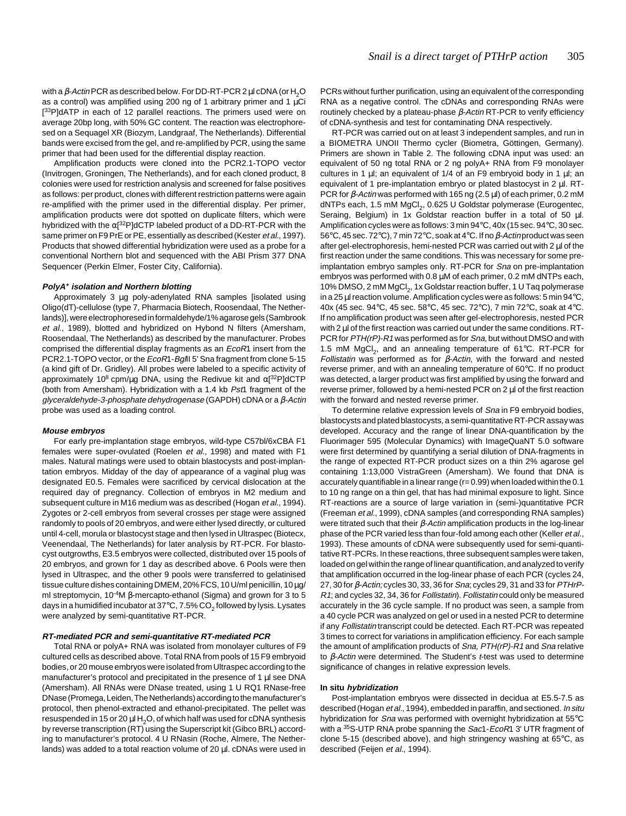with a  $\beta$ -Actin PCR as described below. For DD-RT-PCR 2 µl cDNA (or H<sub>2</sub>O as a control) was amplified using 200 ng of 1 arbitrary primer and 1  $\mu$ Ci [<sup>33</sup>P]dATP in each of 12 parallel reactions. The primers used were on average 20bp long, with 50% GC content. The reaction was electrophoresed on a Sequagel XR (Biozym, Landgraaf, The Netherlands). Differential bands were excised from the gel, and re-amplified by PCR, using the same primer that had been used for the differential display reaction.

Amplification products were cloned into the PCR2.1-TOPO vector (Invitrogen, Groningen, The Netherlands), and for each cloned product, 8 colonies were used for restriction analysis and screened for false positives as follows: per product, clones with different restriction patterns were again re-amplified with the primer used in the differential display. Per primer, amplification products were dot spotted on duplicate filters, which were hybridized with the α[<sup>32</sup>P]dCTP labeled product of a DD-RT-PCR with the same primer on F9 PrE or PE, essentially as described (Kester et al., 1997). Products that showed differential hybridization were used as a probe for a conventional Northern blot and sequenced with the ABI Prism 377 DNA Sequencer (Perkin Elmer, Foster City, California).

#### **PolyA+ isolation and Northern blotting**

Approximately 3 ug poly-adenylated RNA samples [isolated using Oligo(dT)-cellulose (type 7, Pharmacia Biotech, Roosendaal, The Netherlands)], were electrophoresed in formaldehyde/1% agarose gels (Sambrook et al., 1989), blotted and hybridized on Hybond N filters (Amersham, Roosendaal, The Netherlands) as described by the manufacturer. Probes comprised the differential display fragments as an EcoR1 insert from the PCR2.1-TOPO vector, or the EcoR1-Bg/II 5' Sna fragment from clone 5-15 (a kind gift of Dr. Gridley). All probes were labeled to a specific activity of approximately 10<sup>8</sup> cpm/μg DNA, using the Redivue kit and α[<sup>32</sup>P]dCTP (both from Amersham). Hybridization with a 1.4 kb Pst1 fragment of the glyceraldehyde-3-phosphate dehydrogenase (GAPDH) cDNA or a β-Actin probe was used as a loading control.

#### **Mouse embryos**

For early pre-implantation stage embryos, wild-type C57bl/6xCBA F1 females were super-ovulated (Roelen et al., 1998) and mated with F1 males. Natural matings were used to obtain blastocysts and post-implantation embryos. Midday of the day of appearance of a vaginal plug was designated E0.5. Females were sacrificed by cervical dislocation at the required day of pregnancy. Collection of embryos in M2 medium and subsequent culture in M16 medium was as described (Hogan et al., 1994). Zygotes or 2-cell embryos from several crosses per stage were assigned randomly to pools of 20 embryos, and were either lysed directly, or cultured until 4-cell, morula or blastocyst stage and then lysed in Ultraspec (Biotecx, Veenendaal, The Netherlands) for later analysis by RT-PCR. For blastocyst outgrowths, E3.5 embryos were collected, distributed over 15 pools of 20 embryos, and grown for 1 day as described above. 6 Pools were then lysed in Ultraspec, and the other 9 pools were transferred to gelatinised tissue culture dishes containing DMEM, 20% FCS, 10 U/ml penicillin, 10 µg/ ml streptomycin, 10-4M β-mercapto-ethanol (Sigma) and grown for 3 to 5 days in a humidified incubator at 37 $\mathrm{^{\circ}C}$ , 7.5% CO<sub>2</sub> followed by lysis. Lysates were analyzed by semi-quantitative RT-PCR.

## **RT-mediated PCR and semi-quantitative RT-mediated PCR**

Total RNA or polyA+ RNA was isolated from monolayer cultures of F9 cultured cells as described above. Total RNA from pools of 15 F9 embryoid bodies, or 20 mouse embryos were isolated from Ultraspec according to the manufacturer's protocol and precipitated in the presence of 1  $\mu$ l see DNA (Amersham). All RNAs were DNase treated, using 1 U RQ1 RNase-free DNase (Promega, Leiden, The Netherlands) according to the manufacturer's protocol, then phenol-extracted and ethanol-precipitated. The pellet was resuspended in 15 or 20  $\mu$ l H<sub>2</sub>O, of which half was used for cDNA synthesis by reverse transcription (RT) using the Superscript kit (Gibco BRL) according to manufacturer's protocol. 4 U RNasin (Roche, Almere, The Netherlands) was added to a total reaction volume of 20 µl. cDNAs were used in PCRs without further purification, using an equivalent of the corresponding RNA as a negative control. The cDNAs and corresponding RNAs were routinely checked by a plateau-phase β-Actin RT-PCR to verify efficiency of cDNA-synthesis and test for contaminating DNA respectively.

RT-PCR was carried out on at least 3 independent samples, and run in a BIOMETRA UNOII Thermo cycler (Biometra, Göttingen, Germany). Primers are shown in Table 2. The following cDNA input was used: an equivalent of 50 ng total RNA or 2 ng polyA+ RNA from F9 monolayer cultures in 1  $\mu$ l; an equivalent of 1/4 of an F9 embryoid body in 1  $\mu$ l; an equivalent of 1 pre-implantation embryo or plated blastocyst in 2 µl. RT-PCR for  $\beta$ -Actin was performed with 165 ng (2.5  $\mu$ l) of each primer, 0.2 mM dNTPs each, 1.5 mM MgCl<sub>2</sub>, 0.625 U Goldstar polymerase (Eurogentec, Seraing, Belgium) in 1x Goldstar reaction buffer in a total of 50 µl. Amplification cycles were as follows: 3 min 94°C, 40x (15 sec. 94°C, 30 sec. 56°C, 45 sec. 72°C), 7 min 72°C, soak at 4°C. If no β-Actin product was seen after gel-electrophoresis, hemi-nested PCR was carried out with 2 µl of the first reaction under the same conditions. This was necessary for some preimplantation embryo samples only. RT-PCR for Sna on pre-implantation embryos was performed with 0.8 µM of each primer, 0.2 mM dNTPs each, 10% DMSO, 2 mM MgCl<sub>2</sub>, 1x Goldstar reaction buffer, 1 U Taq polymerase in a 25 µl reaction volume. Amplification cycles were as follows: 5 min 94°C, 40x (45 sec. 94°C, 45 sec. 58°C, 45 sec. 72°C), 7 min 72°C, soak at 4°C. If no amplification product was seen after gel-electrophoresis, nested PCR with 2 µl of the first reaction was carried out under the same conditions. RT-PCR for PTH(rP)-R1 was performed as for Sna, but without DMSO and with 1.5 mM MgCl<sub>2</sub>, and an annealing temperature of 61 $^{\circ}$ C. RT-PCR for Follistatin was performed as for  $β$ -Actin, with the forward and nested reverse primer, and with an annealing temperature of 60°C. If no product was detected, a larger product was first amplified by using the forward and reverse primer, followed by a hemi-nested PCR on 2 µl of the first reaction with the forward and nested reverse primer.

To determine relative expression levels of Sna in F9 embryoid bodies, blastocysts and plated blastocysts, a semi-quantitative RT-PCR assay was developed. Accuracy and the range of linear DNA-quantification by the Fluorimager 595 (Molecular Dynamics) with ImageQuaNT 5.0 software were first determined by quantifying a serial dilution of DNA-fragments in the range of expected RT-PCR product sizes on a thin 2% agarose gel containing 1:13,000 VistraGreen (Amersham). We found that DNA is accurately quantifiable in a linear range (r= 0.99) when loaded within the 0.1 to 10 ng range on a thin gel, that has had minimal exposure to light. Since RT-reactions are a source of large variation in (semi-)quantitative PCR (Freeman et al., 1999), cDNA samples (and corresponding RNA samples) were titrated such that their  $\beta$ -Actin amplification products in the log-linear phase of the PCR varied less than four-fold among each other (Keller et al., 1993). These amounts of cDNA were subsequently used for semi-quantitative RT-PCRs. In these reactions, three subsequent samples were taken, loaded on gel within the range of linear quantification, and analyzed to verify that amplification occurred in the log-linear phase of each PCR (cycles 24, 27, 30 for β-Actin; cycles 30, 33, 36 for Sna; cycles 29, 31 and 33 for PTHrP-R1; and cycles 32, 34, 36 for Follistatin). Follistatin could only be measured accurately in the 36 cycle sample. If no product was seen, a sample from a 40 cycle PCR was analyzed on gel or used in a nested PCR to determine if any Follistatin transcript could be detected. Each RT-PCR was repeated 3 times to correct for variations in amplification efficiency. For each sample the amount of amplification products of Sna, PTH(rP)-R1 and Sna relative to  $β$ -Actin were determined. The Student's t-test was used to determine significance of changes in relative expression levels.

## **In situ hybridization**

Post-implantation embryos were dissected in decidua at E5.5-7.5 as described (Hogan et al., 1994), embedded in paraffin, and sectioned. In situ hybridization for Sna was performed with overnight hybridization at 55°C with a <sup>35</sup>S-UTP RNA probe spanning the Sac1-EcoR1 3' UTR fragment of clone 5-15 (described above), and high stringency washing at 65°C, as described (Feijen et al., 1994).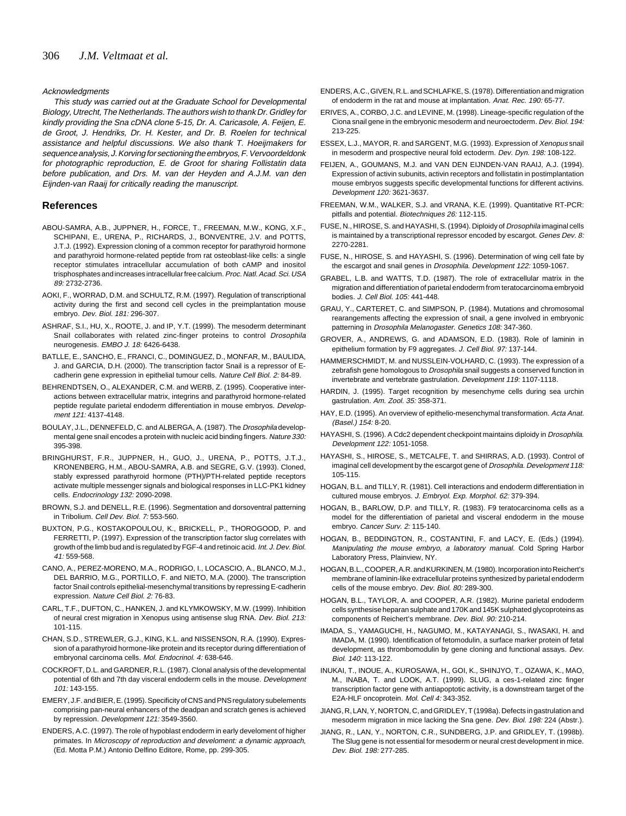## Acknowledgments

This study was carried out at the Graduate School for Developmental Biology, Utrecht, The Netherlands. The authors wish to thank Dr. Gridley for kindly providing the Sna cDNA clone 5-15, Dr. A. Caricasole, A. Feijen, E. de Groot, J. Hendriks, Dr. H. Kester, and Dr. B. Roelen for technical assistance and helpful discussions. We also thank T. Hoeijmakers for sequence analysis, J. Korving for sectioning the embryos, F. Vervoordeldonk for photographic reproduction, E. de Groot for sharing Follistatin data before publication, and Drs. M. van der Heyden and A.J.M. van den Eijnden-van Raaij for critically reading the manuscript.

# **References**

- ABOU-SAMRA, A.B., JUPPNER, H., FORCE, T., FREEMAN, M.W., KONG, X.F., SCHIPANI, E., URENA, P., RICHARDS, J., BONVENTRE, J.V. and POTTS, J.T.J. (1992). Expression cloning of a common receptor for parathyroid hormone and parathyroid hormone-related peptide from rat osteoblast-like cells: a single receptor stimulates intracellular accumulation of both cAMP and inositol trisphosphates and increases intracellular free calcium. Proc. Natl. Acad. Sci. USA 89: 2732-2736.
- AOKI, F., WORRAD, D.M. and SCHULTZ, R.M. (1997). Regulation of transcriptional activity during the first and second cell cycles in the preimplantation mouse embryo. Dev. Biol. 181: 296-307.
- ASHRAF, S.I., HU, X., ROOTE, J. and IP, Y.T. (1999). The mesoderm determinant Snail collaborates with related zinc-finger proteins to control Drosophila neurogenesis. EMBO J. 18: 6426-6438.
- BATLLE, E., SANCHO, E., FRANCI, C., DOMINGUEZ, D., MONFAR, M., BAULIDA, J. and GARCIA, D.H. (2000). The transcription factor Snail is a repressor of Ecadherin gene expression in epithelial tumour cells. Nature Cell Biol. 2: 84-89.
- BEHRENDTSEN, O., ALEXANDER, C.M. and WERB, Z. (1995). Cooperative interactions between extracellular matrix, integrins and parathyroid hormone-related peptide regulate parietal endoderm differentiation in mouse embryos. Development 121: 4137-4148.
- BOULAY, J.L., DENNEFELD, C. and ALBERGA, A. (1987). The Drosophila developmental gene snail encodes a protein with nucleic acid binding fingers. Nature 330: 395-398.
- BRINGHURST, F.R., JUPPNER, H., GUO, J., URENA, P., POTTS, J.T.J., KRONENBERG, H.M., ABOU-SAMRA, A.B. and SEGRE, G.V. (1993). Cloned, stably expressed parathyroid hormone (PTH)/PTH-related peptide receptors activate multiple messenger signals and biological responses in LLC-PK1 kidney cells. Endocrinology 132: 2090-2098.
- BROWN, S.J. and DENELL, R.E. (1996). Segmentation and dorsoventral patterning in Tribolium. Cell Dev. Biol. 7: 553-560.
- BUXTON, P.G., KOSTAKOPOULOU, K., BRICKELL, P., THOROGOOD, P. and FERRETTI, P. (1997). Expression of the transcription factor slug correlates with growth of the limb bud and is regulated by FGF-4 and retinoic acid. Int. J. Dev. Biol. 41: 559-568.
- CANO, A., PEREZ-MORENO, M.A., RODRIGO, I., LOCASCIO, A., BLANCO, M.J., DEL BARRIO, M.G., PORTILLO, F. and NIETO, M.A. (2000). The transcription factor Snail controls epithelial-mesenchymal transitions by repressing E-cadherin expression. Nature Cell Biol. 2: 76-83.
- CARL, T.F., DUFTON, C., HANKEN, J. and KLYMKOWSKY, M.W. (1999). Inhibition of neural crest migration in Xenopus using antisense slug RNA. Dev. Biol. 213: 101-115.
- CHAN, S.D., STREWLER, G.J., KING, K.L. and NISSENSON, R.A. (1990). Expression of a parathyroid hormone-like protein and its receptor during differentiation of embryonal carcinoma cells. Mol. Endocrinol. 4: 638-646.
- COCKROFT, D.L. and GARDNER, R.L. (1987). Clonal analysis of the developmental potential of 6th and 7th day visceral endoderm cells in the mouse. Development 101: 143-155.
- EMERY, J.F. and BIER, E. (1995). Specificity of CNS and PNS regulatory subelements comprising pan-neural enhancers of the deadpan and scratch genes is achieved by repression. Development 121: 3549-3560.
- ENDERS, A.C. (1997). The role of hypoblast endoderm in early develoment of higher primates. In Microscopy of reproduction and develoment: a dynamic approach, (Ed. Motta P.M.) Antonio Delfino Editore, Rome, pp. 299-305.
- ENDERS, A.C., GIVEN, R.L. and SCHLAFKE, S. (1978). Differentiation and migration of endoderm in the rat and mouse at implantation. Anat. Rec. 190: 65-77.
- ERIVES, A., CORBO, J.C. and LEVINE, M. (1998). Lineage-specific regulation of the Ciona snail gene in the embryonic mesoderm and neuroectoderm. Dev. Biol. 194: 213-225.
- ESSEX, L.J., MAYOR, R. and SARGENT, M.G. (1993). Expression of Xenopus snail in mesoderm and prospective neural fold ectoderm. Dev. Dyn. 198: 108-122.
- FEIJEN, A., GOUMANS, M.J. and VAN DEN EIJNDEN-VAN RAAIJ, A.J. (1994). Expression of activin subunits, activin receptors and follistatin in postimplantation mouse embryos suggests specific developmental functions for different activins. Development 120: 3621-3637.
- FREEMAN, W.M., WALKER, S.J. and VRANA, K.E. (1999). Quantitative RT-PCR: pitfalls and potential. Biotechniques 26: 112-115.
- FUSE, N., HIROSE, S. and HAYASHI, S. (1994). Diploidy of Drosophila imaginal cells is maintained by a transcriptional repressor encoded by escargot. Genes Dev. 8: 2270-2281.
- FUSE, N., HIROSE, S. and HAYASHI, S. (1996). Determination of wing cell fate by the escargot and snail genes in Drosophila. Development 122: 1059-1067.
- GRABEL, L.B. and WATTS, T.D. (1987). The role of extracellular matrix in the migration and differentiation of parietal endoderm from teratocarcinoma embryoid bodies. J. Cell Biol. 105: 441-448.
- GRAU, Y., CARTERET, C. and SIMPSON, P. (1984). Mutations and chromosomal rearangements affecting the expression of snail, a gene involved in embryonic patterning in Drosophila Melanogaster. Genetics 108: 347-360.
- GROVER, A., ANDREWS, G. and ADAMSON, E.D. (1983). Role of laminin in epithelium formation by F9 aggregates. J. Cell Biol. 97: 137-144.
- HAMMERSCHMIDT, M. and NUSSLEIN-VOLHARD, C. (1993). The expression of a zebrafish gene homologous to *Drosophila* snail suggests a conserved function in invertebrate and vertebrate gastrulation. Development 119: 1107-1118.
- HARDIN, J. (1995). Target recognition by mesenchyme cells during sea urchin gastrulation. Am. Zool. 35: 358-371.
- HAY, E.D. (1995). An overview of epithelio-mesenchymal transformation. Acta Anat. (Basel.) 154: 8-20.
- HAYASHI, S. (1996). A Cdc2 dependent checkpoint maintains diploidy in Drosophila. Development 122: 1051-1058.
- HAYASHI, S., HIROSE, S., METCALFE, T. and SHIRRAS, A.D. (1993). Control of imaginal cell development by the escargot gene of Drosophila. Development 118: 105-115.
- HOGAN, B.L. and TILLY, R. (1981). Cell interactions and endoderm differentiation in cultured mouse embryos. J. Embryol. Exp. Morphol. 62: 379-394.
- HOGAN, B., BARLOW, D.P. and TILLY, R. (1983). F9 teratocarcinoma cells as a model for the differentiation of parietal and visceral endoderm in the mouse embryo. Cancer Surv. 2: 115-140.
- HOGAN, B., BEDDINGTON, R., COSTANTINI, F. and LACY, E. (Eds.) (1994). Manipulating the mouse embryo, a laboratory manual. Cold Spring Harbor Laboratory Press, Plainview, NY.
- HOGAN, B.L., COOPER, A.R. and KURKINEN, M. (1980). Incorporation into Reichert's membrane of laminin-like extracellular proteins synthesized by parietal endoderm cells of the mouse embryo. Dev. Biol. 80: 289-300.
- HOGAN, B.L., TAYLOR, A. and COOPER, A.R. (1982). Murine parietal endoderm cells synthesise heparan sulphate and 170K and 145K sulphated glycoproteins as components of Reichert's membrane. Dev. Biol. 90: 210-214.
- IMADA, S., YAMAGUCHI, H., NAGUMO, M., KATAYANAGI, S., IWASAKI, H. and IMADA, M. (1990). Identification of fetomodulin, a surface marker protein of fetal development, as thrombomodulin by gene cloning and functional assays. Dev. Biol. 140: 113-122.
- INUKAI, T., INOUE, A., KUROSAWA, H., GOI, K., SHINJYO, T., OZAWA, K., MAO, M., INABA, T. and LOOK, A.T. (1999). SLUG, a ces-1-related zinc finger transcription factor gene with antiapoptotic activity, is a downstream target of the E2A-HLF oncoprotein. Mol. Cell 4: 343-352.
- JIANG, R, LAN, Y, NORTON, C, and GRIDLEY, T (1998a). Defects in gastrulation and mesoderm migration in mice lacking the Sna gene. Dev. Biol. 198: 224 (Abstr.).
- JIANG, R., LAN, Y., NORTON, C.R., SUNDBERG, J.P. and GRIDLEY, T. (1998b). The Slug gene is not essential for mesoderm or neural crest development in mice. Dev. Biol. 198: 277-285.